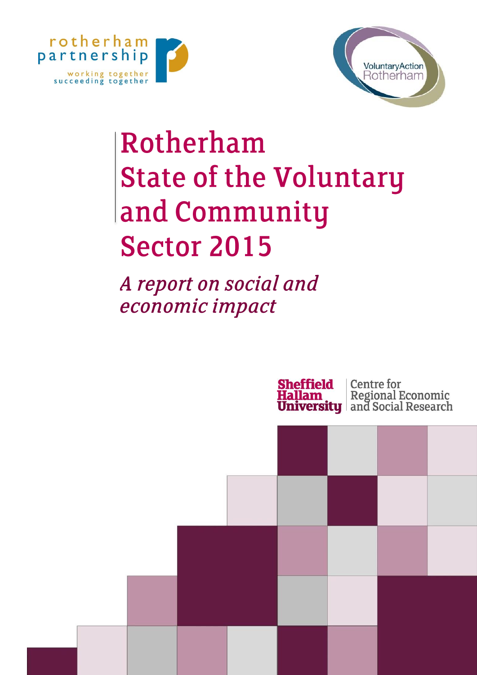



# Rotherham **State of the Voluntary** and Community **Sector 2015**

A report on social and economic impact

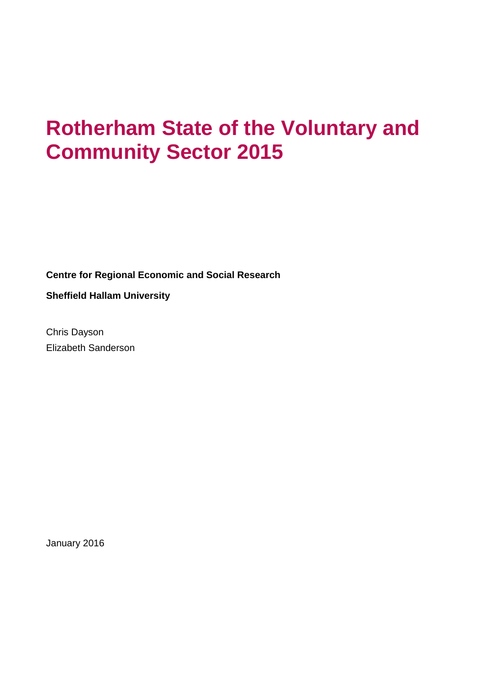# **Rotherham State of the Voluntary and Community Sector 2015**

**Centre for Regional Economic and Social Research**

**Sheffield Hallam University**

Chris Dayson Elizabeth Sanderson

January 2016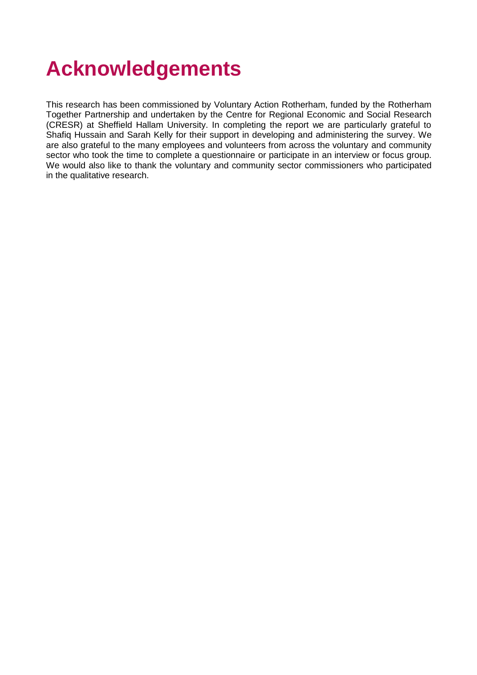# **Acknowledgements**

This research has been commissioned by Voluntary Action Rotherham, funded by the Rotherham Together Partnership and undertaken by the Centre for Regional Economic and Social Research (CRESR) at Sheffield Hallam University. In completing the report we are particularly grateful to Shafiq Hussain and Sarah Kelly for their support in developing and administering the survey. We are also grateful to the many employees and volunteers from across the voluntary and community sector who took the time to complete a questionnaire or participate in an interview or focus group. We would also like to thank the voluntary and community sector commissioners who participated in the qualitative research.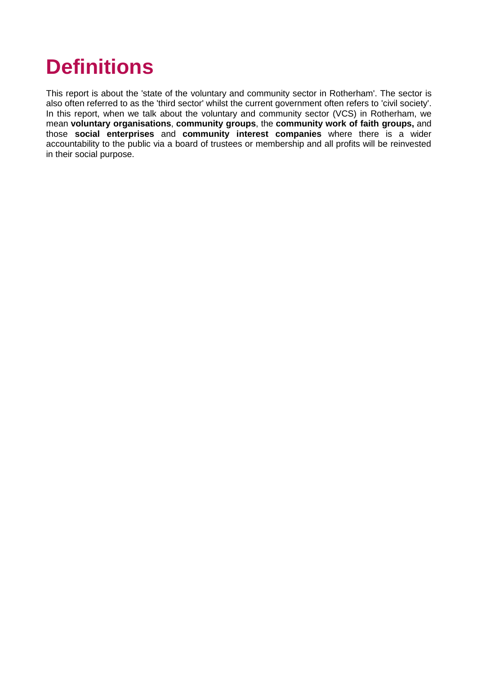# **Definitions**

This report is about the 'state of the voluntary and community sector in Rotherham'. The sector is also often referred to as the 'third sector' whilst the current government often refers to 'civil society'. In this report, when we talk about the voluntary and community sector (VCS) in Rotherham, we mean **voluntary organisations**, **community groups**, the **community work of faith groups,** and those **social enterprises** and **community interest companies** where there is a wider accountability to the public via a board of trustees or membership and all profits will be reinvested in their social purpose.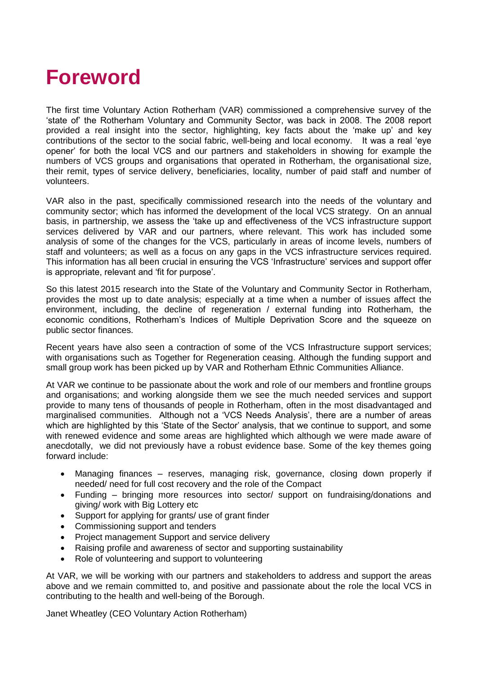# **Foreword**

The first time Voluntary Action Rotherham (VAR) commissioned a comprehensive survey of the 'state of' the Rotherham Voluntary and Community Sector, was back in 2008. The 2008 report provided a real insight into the sector, highlighting, key facts about the 'make up' and key contributions of the sector to the social fabric, well-being and local economy. It was a real 'eye opener' for both the local VCS and our partners and stakeholders in showing for example the numbers of VCS groups and organisations that operated in Rotherham, the organisational size, their remit, types of service delivery, beneficiaries, locality, number of paid staff and number of volunteers.

VAR also in the past, specifically commissioned research into the needs of the voluntary and community sector; which has informed the development of the local VCS strategy. On an annual basis, in partnership, we assess the 'take up and effectiveness of the VCS infrastructure support services delivered by VAR and our partners, where relevant. This work has included some analysis of some of the changes for the VCS, particularly in areas of income levels, numbers of staff and volunteers; as well as a focus on any gaps in the VCS infrastructure services required. This information has all been crucial in ensuring the VCS 'Infrastructure' services and support offer is appropriate, relevant and 'fit for purpose'.

So this latest 2015 research into the State of the Voluntary and Community Sector in Rotherham, provides the most up to date analysis; especially at a time when a number of issues affect the environment, including, the decline of regeneration / external funding into Rotherham, the economic conditions, Rotherham's Indices of Multiple Deprivation Score and the squeeze on public sector finances.

Recent years have also seen a contraction of some of the VCS Infrastructure support services; with organisations such as Together for Regeneration ceasing. Although the funding support and small group work has been picked up by VAR and Rotherham Ethnic Communities Alliance.

At VAR we continue to be passionate about the work and role of our members and frontline groups and organisations; and working alongside them we see the much needed services and support provide to many tens of thousands of people in Rotherham, often in the most disadvantaged and marginalised communities. Although not a 'VCS Needs Analysis', there are a number of areas which are highlighted by this 'State of the Sector' analysis, that we continue to support, and some with renewed evidence and some areas are highlighted which although we were made aware of anecdotally, we did not previously have a robust evidence base. Some of the key themes going forward include:

- Managing finances reserves, managing risk, governance, closing down properly if needed/ need for full cost recovery and the role of the Compact
- Funding bringing more resources into sector/ support on fundraising/donations and giving/ work with Big Lottery etc
- Support for applying for grants/ use of grant finder
- Commissioning support and tenders
- Project management Support and service delivery
- Raising profile and awareness of sector and supporting sustainability
- Role of volunteering and support to volunteering

At VAR, we will be working with our partners and stakeholders to address and support the areas above and we remain committed to, and positive and passionate about the role the local VCS in contributing to the health and well-being of the Borough.

Janet Wheatley (CEO Voluntary Action Rotherham)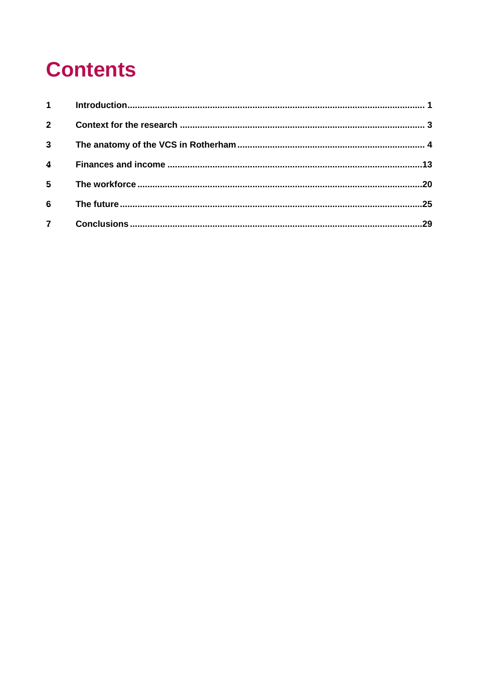# **Contents**

| $1 \quad \blacksquare$ |  |
|------------------------|--|
| 2 <sup>7</sup>         |  |
| $\mathbf{3}$           |  |
| 4                      |  |
| 5                      |  |
| 6                      |  |
| $\mathbf{7}$           |  |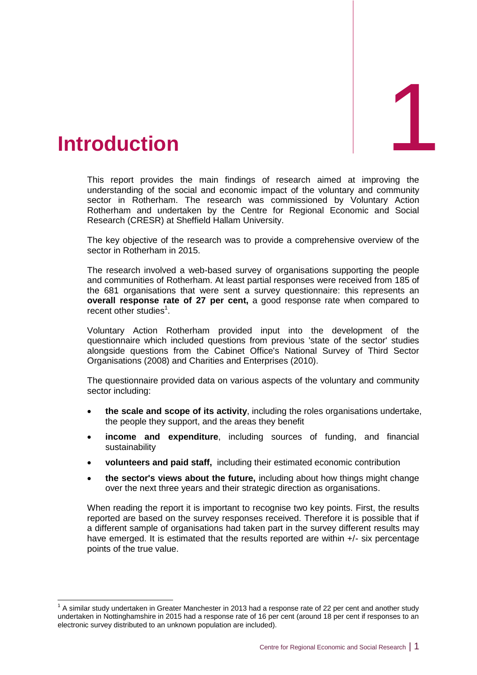<span id="page-6-0"></span>

-

This report provides the main findings of research aimed at improving the understanding of the social and economic impact of the voluntary and community sector in Rotherham. The research was commissioned by Voluntary Action Rotherham and undertaken by the Centre for Regional Economic and Social Research (CRESR) at Sheffield Hallam University.

The key objective of the research was to provide a comprehensive overview of the sector in Rotherham in 2015.

The research involved a web-based survey of organisations supporting the people and communities of Rotherham. At least partial responses were received from 185 of the 681 organisations that were sent a survey questionnaire: this represents an **overall response rate of 27 per cent,** a good response rate when compared to recent other studies<sup>1</sup>.

Voluntary Action Rotherham provided input into the development of the questionnaire which included questions from previous 'state of the sector' studies alongside questions from the Cabinet Office's National Survey of Third Sector Organisations (2008) and Charities and Enterprises (2010).

The questionnaire provided data on various aspects of the voluntary and community sector including:

- **the scale and scope of its activity**, including the roles organisations undertake, the people they support, and the areas they benefit
- **income and expenditure**, including sources of funding, and financial sustainability
- **volunteers and paid staff,** including their estimated economic contribution
- **the sector's views about the future,** including about how things might change over the next three years and their strategic direction as organisations.

When reading the report it is important to recognise two key points. First, the results reported are based on the survey responses received. Therefore it is possible that if a different sample of organisations had taken part in the survey different results may have emerged. It is estimated that the results reported are within +/- six percentage points of the true value.

 $1$  A similar study undertaken in Greater Manchester in 2013 had a response rate of 22 per cent and another study undertaken in Nottinghamshire in 2015 had a response rate of 16 per cent (around 18 per cent if responses to an electronic survey distributed to an unknown population are included).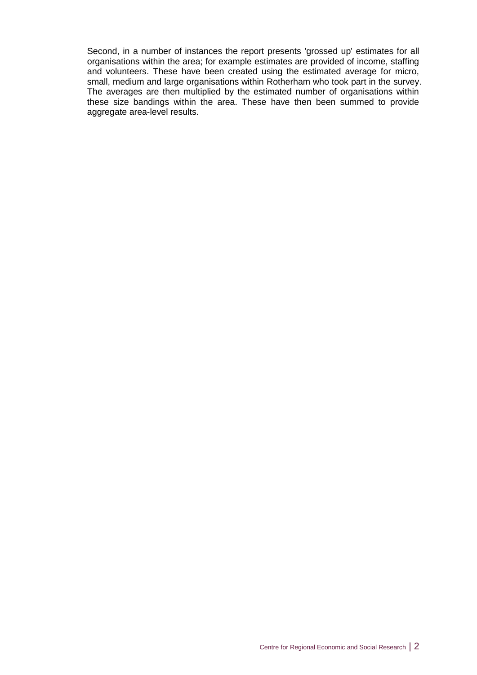Second, in a number of instances the report presents 'grossed up' estimates for all organisations within the area; for example estimates are provided of income, staffing and volunteers. These have been created using the estimated average for micro, small, medium and large organisations within Rotherham who took part in the survey. The averages are then multiplied by the estimated number of organisations within these size bandings within the area. These have then been summed to provide aggregate area-level results.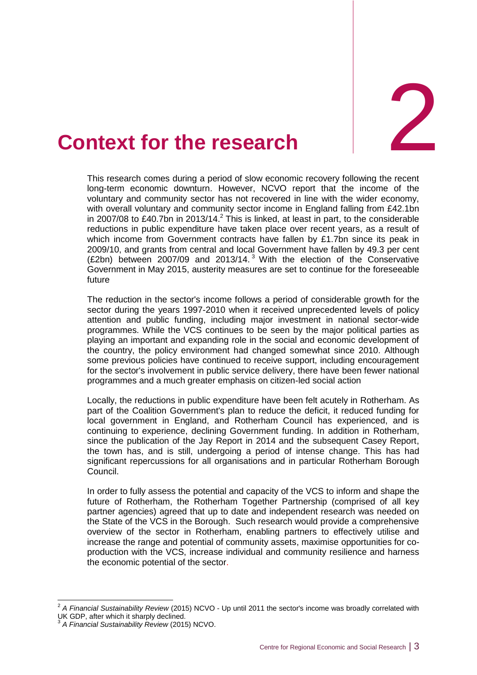

# <span id="page-8-0"></span>**2. Context for the research**

This research comes during a period of slow economic recovery following the recent long-term economic downturn. However, NCVO report that the income of the voluntary and community sector has not recovered in line with the wider economy, with overall voluntary and community sector income in England falling from £42.1bn in 2007/08 to £40.7bn in 2013/14. $^2$  This is linked, at least in part, to the considerable reductions in public expenditure have taken place over recent years, as a result of which income from Government contracts have fallen by £1.7bn since its peak in 2009/10, and grants from central and local Government have fallen by 49.3 per cent  $(E2bn)$  between 2007/09 and 2013/14.<sup>3</sup> With the election of the Conservative Government in May 2015, austerity measures are set to continue for the foreseeable future

The reduction in the sector's income follows a period of considerable growth for the sector during the years 1997-2010 when it received unprecedented levels of policy attention and public funding, including major investment in national sector-wide programmes. While the VCS continues to be seen by the major political parties as playing an important and expanding role in the social and economic development of the country, the policy environment had changed somewhat since 2010. Although some previous policies have continued to receive support, including encouragement for the sector's involvement in public service delivery, there have been fewer national programmes and a much greater emphasis on citizen-led social action

Locally, the reductions in public expenditure have been felt acutely in Rotherham. As part of the Coalition Government's plan to reduce the deficit, it reduced funding for local government in England, and Rotherham Council has experienced, and is continuing to experience, declining Government funding. In addition in Rotherham, since the publication of the Jay Report in 2014 and the subsequent Casey Report, the town has, and is still, undergoing a period of intense change. This has had significant repercussions for all organisations and in particular Rotherham Borough Council.

In order to fully assess the potential and capacity of the VCS to inform and shape the future of Rotherham, the Rotherham Together Partnership (comprised of all key partner agencies) agreed that up to date and independent research was needed on the State of the VCS in the Borough. Such research would provide a comprehensive overview of the sector in Rotherham, enabling partners to effectively utilise and increase the range and potential of community assets, maximise opportunities for coproduction with the VCS, increase individual and community resilience and harness the economic potential of the sector.

 2 *A Financial Sustainability Review* (2015) NCVO - Up until 2011 the sector's income was broadly correlated with UK GDP, after which it sharply declined.<br>3. A Financial Suptainability Boujou (2014)

*A Financial Sustainability Review* (2015) NCVO.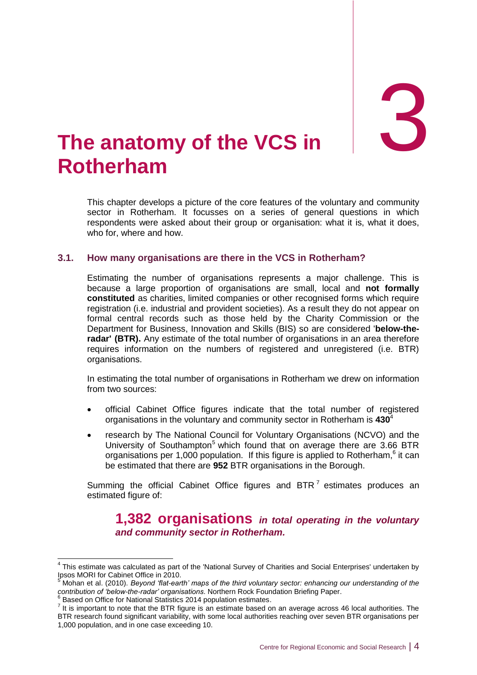# <span id="page-9-0"></span>3. **The Rotherham anatomy of the VCS in**

This chapter develops a picture of the core features of the voluntary and community sector in Rotherham. It focusses on a series of general questions in which respondents were asked about their group or organisation: what it is, what it does, who for, where and how.

# **3.1. How many organisations are there in the VCS in Rotherham?**

Estimating the number of organisations represents a major challenge. This is because a large proportion of organisations are small, local and **not formally constituted** as charities, limited companies or other recognised forms which require registration (i.e. industrial and provident societies). As a result they do not appear on formal central records such as those held by the Charity Commission or the Department for Business, Innovation and Skills (BIS) so are considered '**below-theradar' (BTR).** Any estimate of the total number of organisations in an area therefore requires information on the numbers of registered and unregistered (i.e. BTR) organisations.

In estimating the total number of organisations in Rotherham we drew on information from two sources:

- official Cabinet Office figures indicate that the total number of registered organisations in the voluntary and community sector in Rotherham is **430**<sup>4</sup>
- research by The National Council for Voluntary Organisations (NCVO) and the University of Southampton<sup>5</sup> which found that on average there are  $3.66$  BTR organisations per 1,000 population. If this figure is applied to Rotherham, $6$  it can be estimated that there are **952** BTR organisations in the Borough.

Summing the official Cabinet Office figures and BTR<sup>7</sup> estimates produces an estimated figure of:

# **1,382 organisations** *in total operating in the voluntary and community sector in Rotherham.*

 4 This estimate was calculated as part of the 'National Survey of Charities and Social Enterprises' undertaken by Ipsos MORI for Cabinet Office in 2010.

<sup>5</sup> Mohan et al. (2010). *Beyond 'flat-earth' maps of the third voluntary sector: enhancing our understanding of the contribution of 'below-the-radar' organisations*. Northern Rock Foundation Briefing Paper.

<sup>&</sup>lt;sup>6</sup> Based on Office for National Statistics 2014 population estimates.

 $<sup>7</sup>$  It is important to note that the BTR figure is an estimate based on an average across 46 local authorities. The</sup> BTR research found significant variability, with some local authorities reaching over seven BTR organisations per 1,000 population, and in one case exceeding 10.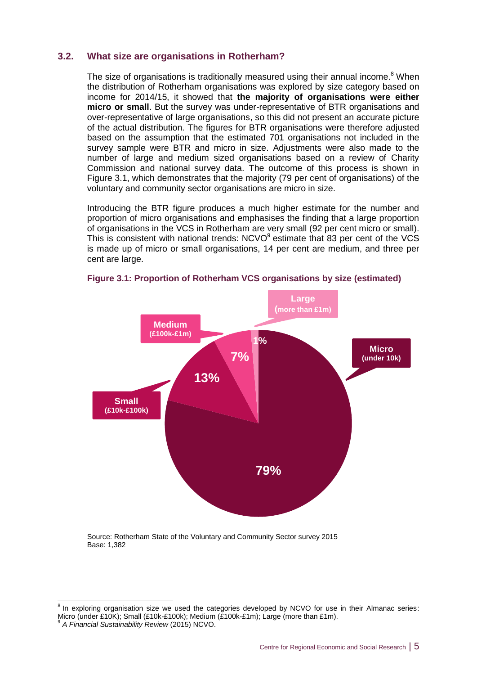# **3.2. What size are organisations in Rotherham?**

The size of organisations is traditionally measured using their annual income.<sup>8</sup> When the distribution of Rotherham organisations was explored by size category based on income for 2014/15, it showed that **the majority of organisations were either micro or small**. But the survey was under-representative of BTR organisations and over-representative of large organisations, so this did not present an accurate picture of the actual distribution. The figures for BTR organisations were therefore adjusted based on the assumption that the estimated 701 organisations not included in the survey sample were BTR and micro in size. Adjustments were also made to the number of large and medium sized organisations based on a review of Charity Commission and national survey data. The outcome of this process is shown in Figure 3.1, which demonstrates that the majority (79 per cent of organisations) of the voluntary and community sector organisations are micro in size.

Introducing the BTR figure produces a much higher estimate for the number and proportion of micro organisations and emphasises the finding that a large proportion of organisations in the VCS in Rotherham are very small (92 per cent micro or small). This is consistent with national trends:  $NCVO<sup>9</sup>$  estimate that 83 per cent of the VCS is made up of micro or small organisations, 14 per cent are medium, and three per cent are large.



**Figure 3.1: Proportion of Rotherham VCS organisations by size (estimated)**

Source: Rotherham State of the Voluntary and Community Sector survey 2015 Base: 1,382

 8 In exploring organisation size we used the categories developed by NCVO for use in their Almanac series: Micro (under £10K); Small (£10k-£100k); Medium (£100k-£1m); Large (more than £1m).<br>9 A Financial Suntainability Review (2015) NGVO

*A Financial Sustainability Review* (2015) NCVO.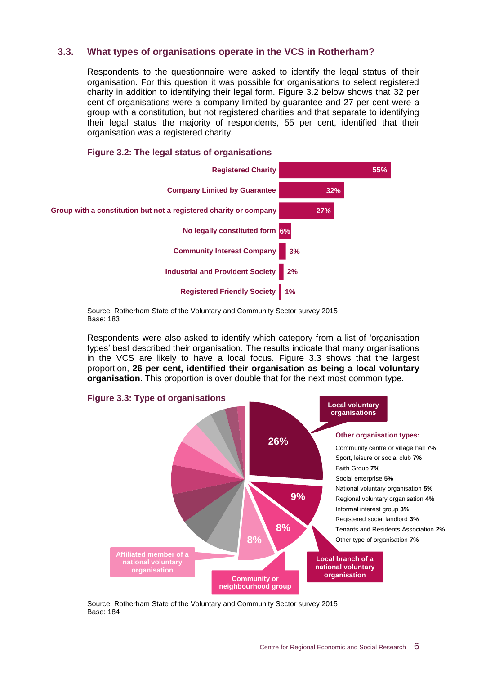# **3.3. What types of organisations operate in the VCS in Rotherham?**

Respondents to the questionnaire were asked to identify the legal status of their organisation. For this question it was possible for organisations to select registered charity in addition to identifying their legal form. Figure 3.2 below shows that 32 per cent of organisations were a company limited by guarantee and 27 per cent were a group with a constitution, but not registered charities and that separate to identifying their legal status the majority of respondents, 55 per cent, identified that their organisation was a registered charity.



# **Figure 3.2: The legal status of organisations**

Source: Rotherham State of the Voluntary and Community Sector survey 2015 Base: 183

Respondents were also asked to identify which category from a list of 'organisation types' best described their organisation. The results indicate that many organisations in the VCS are likely to have a local focus. Figure 3.3 shows that the largest proportion, **26 per cent, identified their organisation as being a local voluntary organisation**. This proportion is over double that for the next most common type.



Source: Rotherham State of the Voluntary and Community Sector survey 2015 Base: 184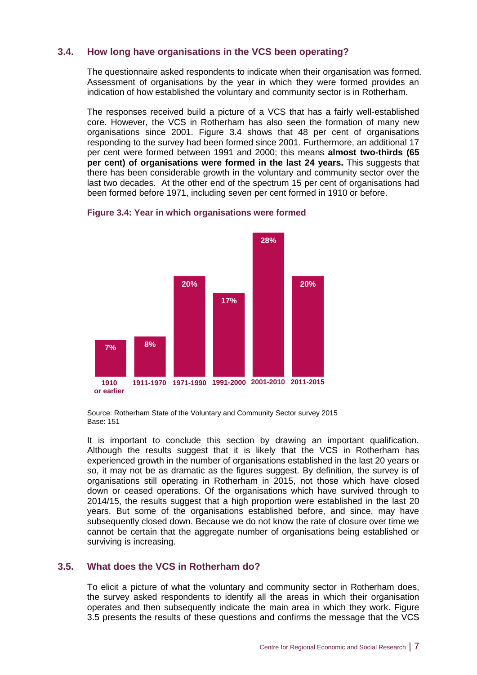# **3.4. How long have organisations in the VCS been operating?**

The questionnaire asked respondents to indicate when their organisation was formed. Assessment of organisations by the year in which they were formed provides an indication of how established the voluntary and community sector is in Rotherham.

The responses received build a picture of a VCS that has a fairly well-established core. However, the VCS in Rotherham has also seen the formation of many new organisations since 2001. Figure 3.4 shows that 48 per cent of organisations responding to the survey had been formed since 2001. Furthermore, an additional 17 per cent were formed between 1991 and 2000; this means **almost two-thirds (65 per cent) of organisations were formed in the last 24 years.** This suggests that there has been considerable growth in the voluntary and community sector over the last two decades. At the other end of the spectrum 15 per cent of organisations had been formed before 1971, including seven per cent formed in 1910 or before.



# **Figure 3.4: Year in which organisations were formed**

Source: Rotherham State of the Voluntary and Community Sector survey 2015 Base: 151

It is important to conclude this section by drawing an important qualification. Although the results suggest that it is likely that the VCS in Rotherham has experienced growth in the number of organisations established in the last 20 years or so, it may not be as dramatic as the figures suggest. By definition, the survey is of organisations still operating in Rotherham in 2015, not those which have closed down or ceased operations. Of the organisations which have survived through to 2014/15, the results suggest that a high proportion were established in the last 20 years. But some of the organisations established before, and since, may have subsequently closed down. Because we do not know the rate of closure over time we cannot be certain that the aggregate number of organisations being established or surviving is increasing.

# **3.5. What does the VCS in Rotherham do?**

To elicit a picture of what the voluntary and community sector in Rotherham does, the survey asked respondents to identify all the areas in which their organisation operates and then subsequently indicate the main area in which they work. Figure 3.5 presents the results of these questions and confirms the message that the VCS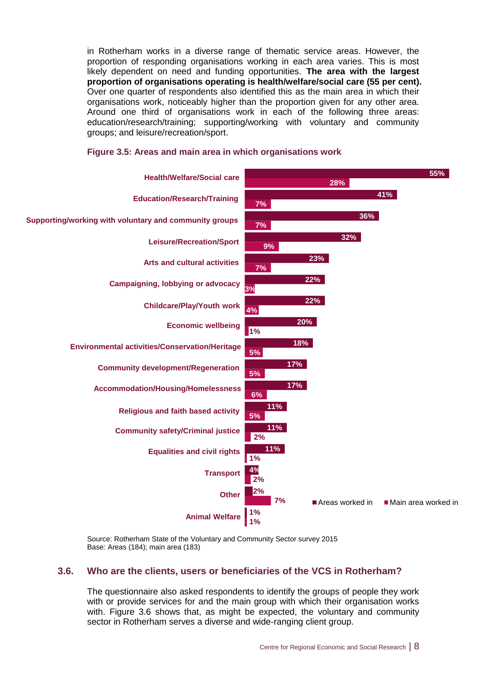in Rotherham works in a diverse range of thematic service areas. However, the proportion of responding organisations working in each area varies. This is most likely dependent on need and funding opportunities. **The area with the largest proportion of organisations operating is health/welfare/social care (55 per cent).**  Over one quarter of respondents also identified this as the main area in which their organisations work, noticeably higher than the proportion given for any other area. Around one third of organisations work in each of the following three areas: education/research/training; supporting/working with voluntary and community groups; and leisure/recreation/sport.



## **Figure 3.5: Areas and main area in which organisations work**

Source: Rotherham State of the Voluntary and Community Sector survey 2015 Base: Areas (184); main area (183)

# **3.6. Who are the clients, users or beneficiaries of the VCS in Rotherham?**

The questionnaire also asked respondents to identify the groups of people they work with or provide services for and the main group with which their organisation works with. Figure 3.6 shows that, as might be expected, the voluntary and community sector in Rotherham serves a diverse and wide-ranging client group.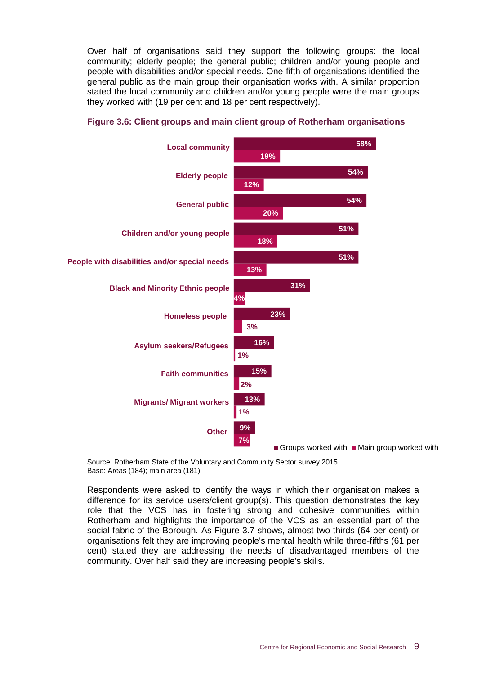Over half of organisations said they support the following groups: the local community; elderly people; the general public; children and/or young people and people with disabilities and/or special needs. One-fifth of organisations identified the general public as the main group their organisation works with. A similar proportion stated the local community and children and/or young people were the main groups they worked with (19 per cent and 18 per cent respectively).



# **Figure 3.6: Client groups and main client group of Rotherham organisations**

Source: Rotherham State of the Voluntary and Community Sector survey 2015 Base: Areas (184); main area (181)

Respondents were asked to identify the ways in which their organisation makes a difference for its service users/client group(s). This question demonstrates the key role that the VCS has in fostering strong and cohesive communities within Rotherham and highlights the importance of the VCS as an essential part of the social fabric of the Borough. As Figure 3.7 shows, almost two thirds (64 per cent) or organisations felt they are improving people's mental health while three-fifths (61 per cent) stated they are addressing the needs of disadvantaged members of the community. Over half said they are increasing people's skills.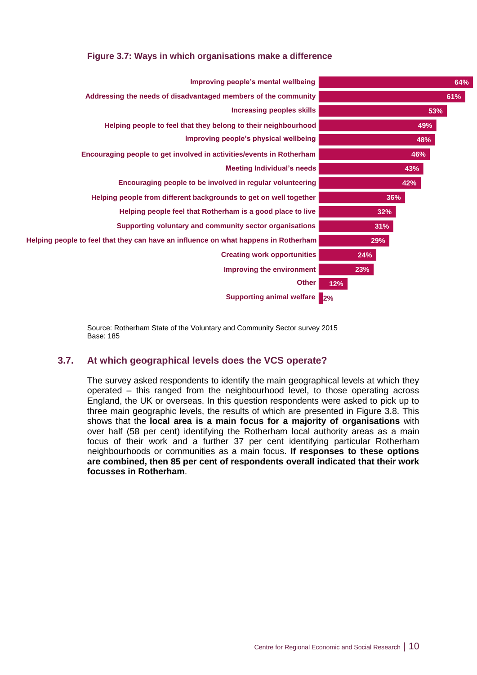# **Figure 3.7: Ways in which organisations make a difference**



Source: Rotherham State of the Voluntary and Community Sector survey 2015 Base: 185

# **3.7. At which geographical levels does the VCS operate?**

The survey asked respondents to identify the main geographical levels at which they operated – this ranged from the neighbourhood level, to those operating across England, the UK or overseas. In this question respondents were asked to pick up to three main geographic levels, the results of which are presented in Figure 3.8. This shows that the **local area is a main focus for a majority of organisations** with over half (58 per cent) identifying the Rotherham local authority areas as a main focus of their work and a further 37 per cent identifying particular Rotherham neighbourhoods or communities as a main focus. **If responses to these options are combined, then 85 per cent of respondents overall indicated that their work focusses in Rotherham**.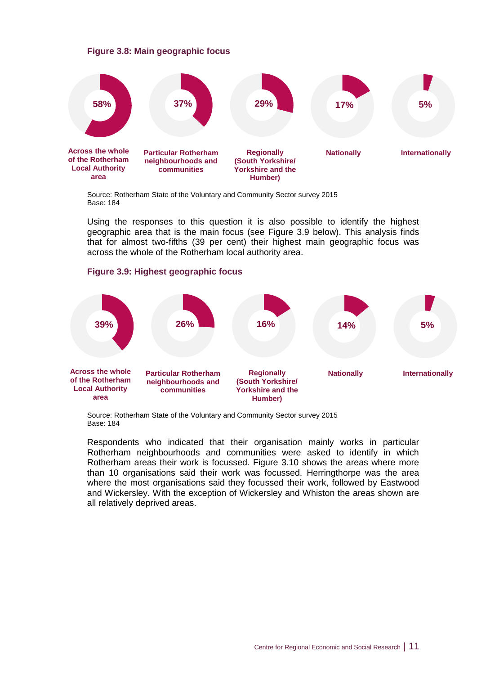## **Figure 3.8: Main geographic focus**



Source: Rotherham State of the Voluntary and Community Sector survey 2015 Base: 184

Using the responses to this question it is also possible to identify the highest geographic area that is the main focus (see Figure 3.9 below). This analysis finds that for almost two-fifths (39 per cent) their highest main geographic focus was across the whole of the Rotherham local authority area.

## **Figure 3.9: Highest geographic focus**



Source: Rotherham State of the Voluntary and Community Sector survey 2015 Base: 184

Respondents who indicated that their organisation mainly works in particular Rotherham neighbourhoods and communities were asked to identify in which Rotherham areas their work is focussed. Figure 3.10 shows the areas where more than 10 organisations said their work was focussed. Herringthorpe was the area where the most organisations said they focussed their work, followed by Eastwood and Wickersley. With the exception of Wickersley and Whiston the areas shown are all relatively deprived areas.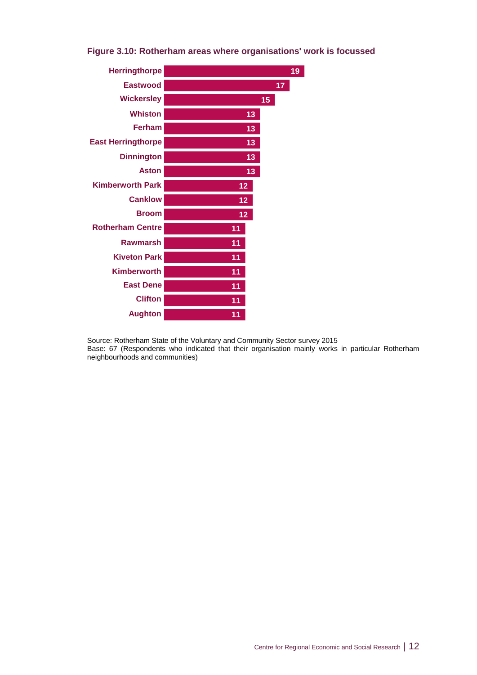

# **Figure 3.10: Rotherham areas where organisations' work is focussed**

Source: Rotherham State of the Voluntary and Community Sector survey 2015 Base: 67 (Respondents who indicated that their organisation mainly works in particular Rotherham neighbourhoods and communities)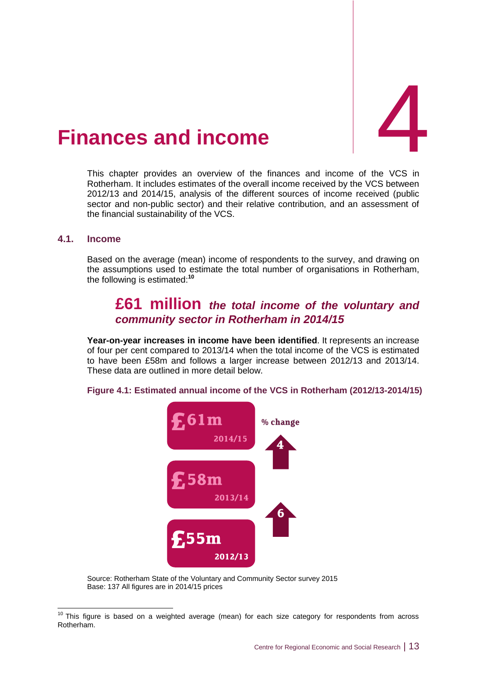

# <span id="page-18-0"></span>4. **Finances and**

This chapter provides an overview of the finances and income of the VCS in Rotherham. It includes estimates of the overall income received by the VCS between 2012/13 and 2014/15, analysis of the different sources of income received (public sector and non-public sector) and their relative contribution, and an assessment of the financial sustainability of the VCS.

# **4.1. Income**

-

Based on the average (mean) income of respondents to the survey, and drawing on the assumptions used to estimate the total number of organisations in Rotherham, the following is estimated: **10**

# **£61 million** *the total income of the voluntary and community sector in Rotherham in 2014/15*

**Year-on-year increases in income have been identified**. It represents an increase of four per cent compared to 2013/14 when the total income of the VCS is estimated to have been £58m and follows a larger increase between 2012/13 and 2013/14. These data are outlined in more detail below.

**Figure 4.1: Estimated annual income of the VCS in Rotherham (2012/13-2014/15)**



Source: Rotherham State of the Voluntary and Community Sector survey 2015 Base: 137 All figures are in 2014/15 prices

 $10$  This figure is based on a weighted average (mean) for each size category for respondents from across Rotherham.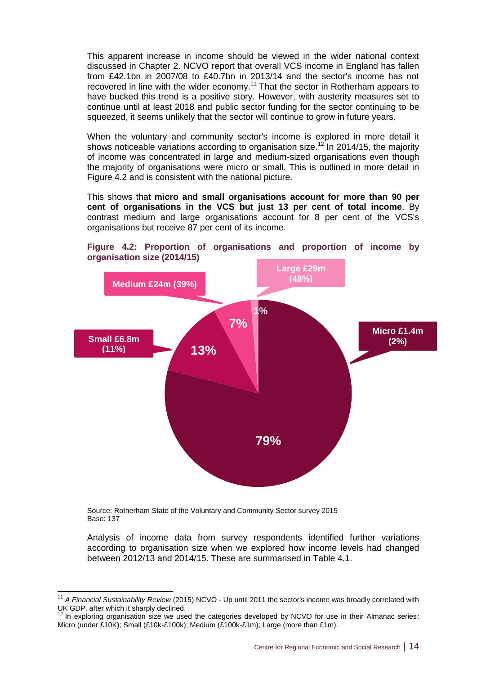This apparent increase in income should be viewed in the wider national context discussed in Chapter 2. NCVO report that overall VCS income in England has fallen from £42.1bn in 2007/08 to £40.7bn in 2013/14 and the sector's income has not recovered in line with the wider economy.<sup>11</sup> That the sector in Rotherham appears to have bucked this trend is a positive story. However, with austerity measures set to continue until at least 2018 and public sector funding for the sector continuing to be squeezed, it seems unlikely that the sector will continue to grow in future years.

When the voluntary and community sector's income is explored in more detail it shows noticeable variations according to organisation size.<sup>12</sup> In 2014/15, the majority of income was concentrated in large and medium-sized organisations even though the majority of organisations were micro or small. This is outlined in more detail in Figure 4.2 and is consistent with the national picture.

This shows that **micro and small organisations account for more than 90 per cent of organisations in the VCS but just 13 per cent of total income**. By contrast medium and large organisations account for 8 per cent of the VCS's organisations but receive 87 per cent of its income.





Source: Rotherham State of the Voluntary and Community Sector survey 2015 Base: 137

Analysis of income data from survey respondents identified further variations according to organisation size when we explored how income levels had changed between 2012/13 and 2014/15. These are summarised in Table 4.1.

 $\overline{1}$ <sup>11</sup> *A Financial Sustainability Review* (2015) NCVO - Up until 2011 the sector's income was broadly correlated with UK GDP, after which it sharply declined.

<sup>&</sup>lt;sup>12</sup> In exploring organisation size we used the categories developed by NCVO for use in their Almanac series: Micro (under £10K); Small (£10k-£100k); Medium (£100k-£1m); Large (more than £1m).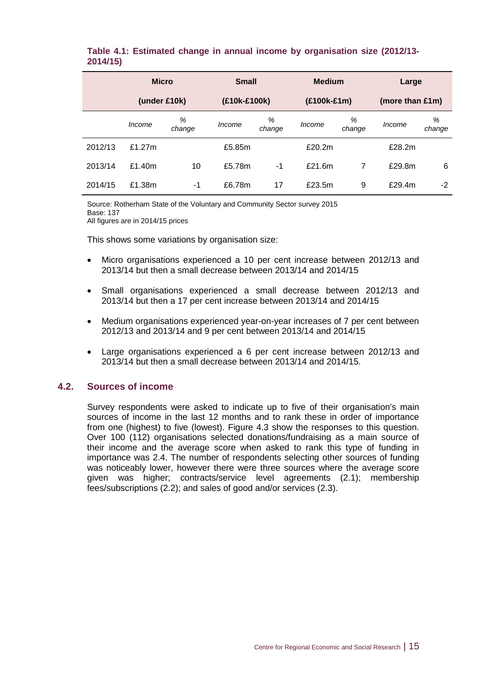# **Table 4.1: Estimated change in annual income by organisation size (2012/13- 2014/15)**

|         | <b>Micro</b> |             | <b>Small</b> |             | <b>Medium</b> |             | Large           |             |
|---------|--------------|-------------|--------------|-------------|---------------|-------------|-----------------|-------------|
|         | (under £10k) |             | (£10k-£100k) |             | (£100k-£1m)   |             | (more than £1m) |             |
|         | Income       | %<br>change | Income       | %<br>change | Income        | %<br>change | Income          | %<br>change |
| 2012/13 | £1.27m       |             | £5.85m       |             | £20.2m        |             | £28.2m          |             |
| 2013/14 | £1.40m       | 10          | £5.78m       | $-1$        | £21.6m        | 7           | £29.8m          | 6           |
| 2014/15 | £1.38m       | -1          | £6.78m       | 17          | £23.5m        | 9           | £29.4m          | $-2$        |

Source: Rotherham State of the Voluntary and Community Sector survey 2015 Base: 137

All figures are in 2014/15 prices

This shows some variations by organisation size:

- Micro organisations experienced a 10 per cent increase between 2012/13 and 2013/14 but then a small decrease between 2013/14 and 2014/15
- Small organisations experienced a small decrease between 2012/13 and 2013/14 but then a 17 per cent increase between 2013/14 and 2014/15
- Medium organisations experienced year-on-year increases of 7 per cent between 2012/13 and 2013/14 and 9 per cent between 2013/14 and 2014/15
- Large organisations experienced a 6 per cent increase between 2012/13 and 2013/14 but then a small decrease between 2013/14 and 2014/15.

# **4.2. Sources of income**

Survey respondents were asked to indicate up to five of their organisation's main sources of income in the last 12 months and to rank these in order of importance from one (highest) to five (lowest). Figure 4.3 show the responses to this question. Over 100 (112) organisations selected donations/fundraising as a main source of their income and the average score when asked to rank this type of funding in importance was 2.4. The number of respondents selecting other sources of funding was noticeably lower, however there were three sources where the average score given was higher; contracts/service level agreements (2.1); membership fees/subscriptions (2.2); and sales of good and/or services (2.3).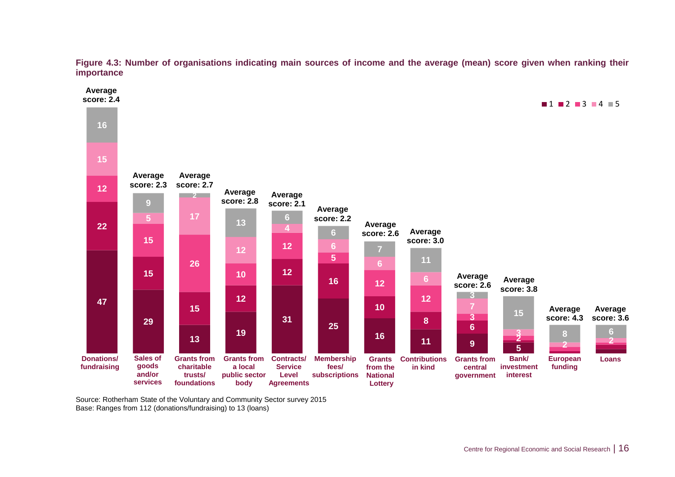

**Figure 4.3: Number of organisations indicating main sources of income and the average (mean) score given when ranking their importance**

Source: Rotherham State of the Voluntary and Community Sector survey 2015 Base: Ranges from 112 (donations/fundraising) to 13 (loans)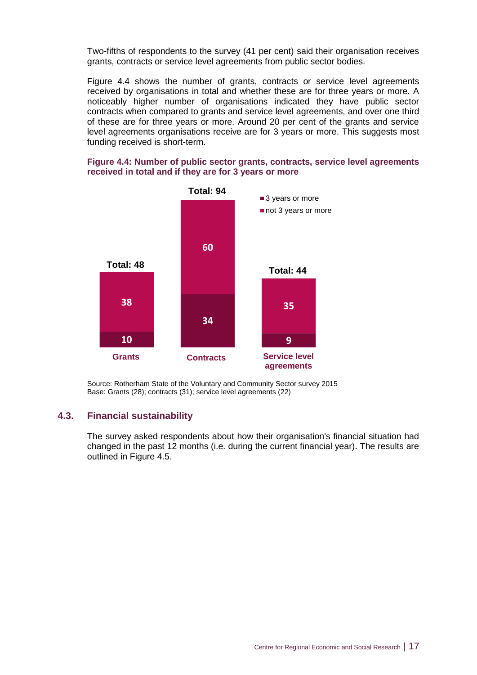Two-fifths of respondents to the survey (41 per cent) said their organisation receives grants, contracts or service level agreements from public sector bodies.

Figure 4.4 shows the number of grants, contracts or service level agreements received by organisations in total and whether these are for three years or more. A noticeably higher number of organisations indicated they have public sector contracts when compared to grants and service level agreements, and over one third of these are for three years or more. Around 20 per cent of the grants and service level agreements organisations receive are for 3 years or more. This suggests most funding received is short-term.

## **Figure 4.4: Number of public sector grants, contracts, service level agreements received in total and if they are for 3 years or more**



Source: Rotherham State of the Voluntary and Community Sector survey 2015 Base: Grants (28); contracts (31); service level agreements (22)

# **4.3. Financial sustainability**

The survey asked respondents about how their organisation's financial situation had changed in the past 12 months (i.e. during the current financial year). The results are outlined in Figure 4.5.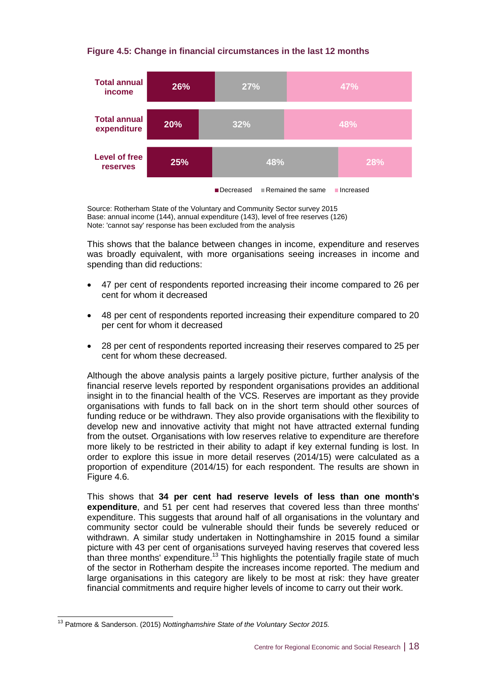# **Figure 4.5: Change in financial circumstances in the last 12 months**



Source: Rotherham State of the Voluntary and Community Sector survey 2015 Base: annual income (144), annual expenditure (143), level of free reserves (126) Note: 'cannot say' response has been excluded from the analysis

This shows that the balance between changes in income, expenditure and reserves was broadly equivalent, with more organisations seeing increases in income and spending than did reductions:

- 47 per cent of respondents reported increasing their income compared to 26 per cent for whom it decreased
- 48 per cent of respondents reported increasing their expenditure compared to 20 per cent for whom it decreased
- 28 per cent of respondents reported increasing their reserves compared to 25 per cent for whom these decreased.

Although the above analysis paints a largely positive picture, further analysis of the financial reserve levels reported by respondent organisations provides an additional insight in to the financial health of the VCS. Reserves are important as they provide organisations with funds to fall back on in the short term should other sources of funding reduce or be withdrawn. They also provide organisations with the flexibility to develop new and innovative activity that might not have attracted external funding from the outset. Organisations with low reserves relative to expenditure are therefore more likely to be restricted in their ability to adapt if key external funding is lost. In order to explore this issue in more detail reserves (2014/15) were calculated as a proportion of expenditure (2014/15) for each respondent. The results are shown in Figure 4.6.

This shows that **34 per cent had reserve levels of less than one month's expenditure**, and 51 per cent had reserves that covered less than three months' expenditure. This suggests that around half of all organisations in the voluntary and community sector could be vulnerable should their funds be severely reduced or withdrawn. A similar study undertaken in Nottinghamshire in 2015 found a similar picture with 43 per cent of organisations surveyed having reserves that covered less than three months' expenditure.<sup>13</sup> This highlights the potentially fragile state of much of the sector in Rotherham despite the increases income reported. The medium and large organisations in this category are likely to be most at risk: they have greater financial commitments and require higher levels of income to carry out their work.

 $\overline{1}$ 

<sup>13</sup> Patmore & Sanderson. (2015) *Nottinghamshire State of the Voluntary Sector 2015.*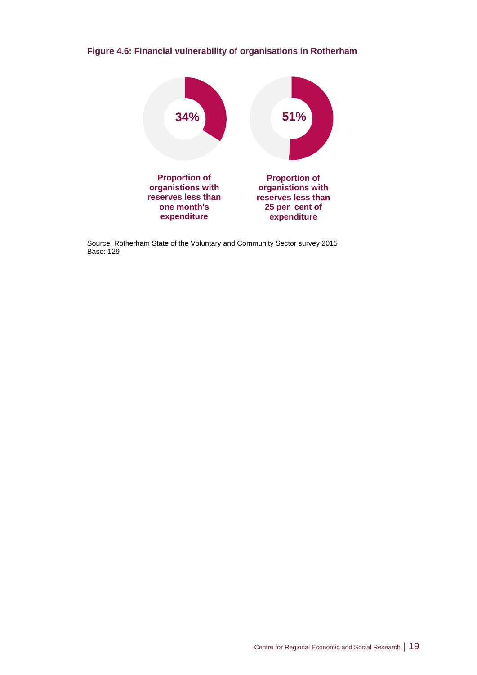# **Figure 4.6: Financial vulnerability of organisations in Rotherham**



Source: Rotherham State of the Voluntary and Community Sector survey 2015 Base: 129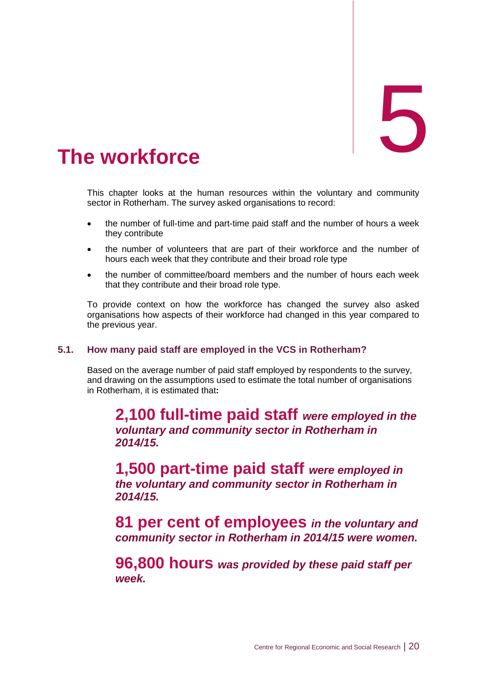# <span id="page-25-0"></span>The workforce

This chapter looks at the human resources within the voluntary and community sector in Rotherham. The survey asked organisations to record:

- the number of full-time and part-time paid staff and the number of hours a week they contribute
- the number of volunteers that are part of their workforce and the number of hours each week that they contribute and their broad role type
- the number of committee/board members and the number of hours each week that they contribute and their broad role type.

To provide context on how the workforce has changed the survey also asked organisations how aspects of their workforce had changed in this year compared to the previous year.

# **5.1. How many paid staff are employed in the VCS in Rotherham?**

Based on the average number of paid staff employed by respondents to the survey, and drawing on the assumptions used to estimate the total number of organisations in Rotherham, it is estimated that**:**

**2,100 full-time paid staff** *were employed in the voluntary and community sector in Rotherham in 2014/15.*

**1,500 part-time paid staff** *were employed in the voluntary and community sector in Rotherham in 2014/15.*

**81 per cent of employees** *in the voluntary and community sector in Rotherham in 2014/15 were women.*

**96,800 hours** *was provided by these paid staff per week.*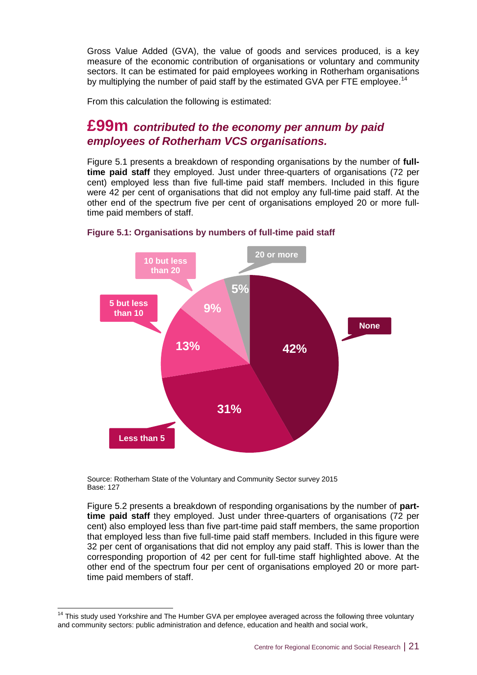Gross Value Added (GVA), the value of goods and services produced, is a key measure of the economic contribution of organisations or voluntary and community sectors. It can be estimated for paid employees working in Rotherham organisations by multiplying the number of paid staff by the estimated GVA per FTE employee.<sup>14</sup>

From this calculation the following is estimated:

# **£99m** *contributed to the economy per annum by paid employees of Rotherham VCS organisations.*

Figure 5.1 presents a breakdown of responding organisations by the number of **fulltime paid staff** they employed. Just under three-quarters of organisations (72 per cent) employed less than five full-time paid staff members. Included in this figure were 42 per cent of organisations that did not employ any full-time paid staff. At the other end of the spectrum five per cent of organisations employed 20 or more fulltime paid members of staff.



**Figure 5.1: Organisations by numbers of full-time paid staff** 

Source: Rotherham State of the Voluntary and Community Sector survey 2015 Base: 127

-

Figure 5.2 presents a breakdown of responding organisations by the number of **parttime paid staff** they employed. Just under three-quarters of organisations (72 per cent) also employed less than five part-time paid staff members, the same proportion that employed less than five full-time paid staff members. Included in this figure were 32 per cent of organisations that did not employ any paid staff. This is lower than the corresponding proportion of 42 per cent for full-time staff highlighted above. At the other end of the spectrum four per cent of organisations employed 20 or more parttime paid members of staff.

 $14$  This study used Yorkshire and The Humber GVA per employee averaged across the following three voluntary and community sectors: public administration and defence, education and health and social work,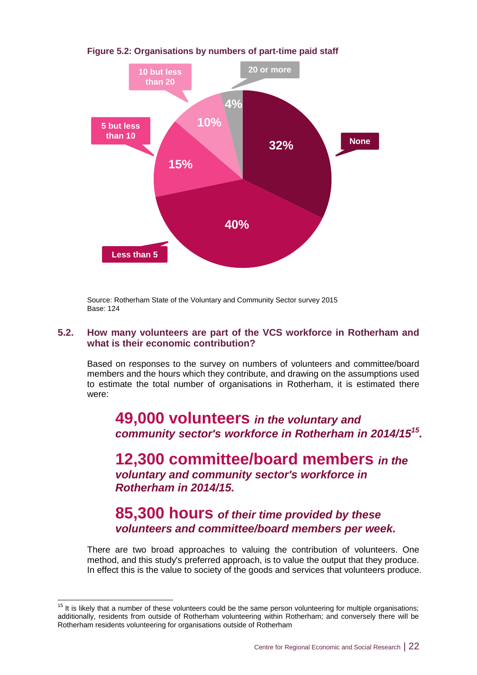

**Figure 5.2: Organisations by numbers of part-time paid staff**

Source: Rotherham State of the Voluntary and Community Sector survey 2015 Base: 124

# **5.2. How many volunteers are part of the VCS workforce in Rotherham and what is their economic contribution?**

Based on responses to the survey on numbers of volunteers and committee/board members and the hours which they contribute, and drawing on the assumptions used to estimate the total number of organisations in Rotherham, it is estimated there were:

# **49,000 volunteers** *in the voluntary and community sector's workforce in Rotherham in 2014/15<sup>15</sup> .*

**12,300 committee/board members** *in the voluntary and community sector's workforce in Rotherham in 2014/15.*

# **85,300 hours** *of their time provided by these volunteers and committee/board members per week.*

There are two broad approaches to valuing the contribution of volunteers. One method, and this study's preferred approach, is to value the output that they produce. In effect this is the value to society of the goods and services that volunteers produce.

-

 $15$  It is likely that a number of these volunteers could be the same person volunteering for multiple organisations; additionally, residents from outside of Rotherham volunteering within Rotherham; and conversely there will be Rotherham residents volunteering for organisations outside of Rotherham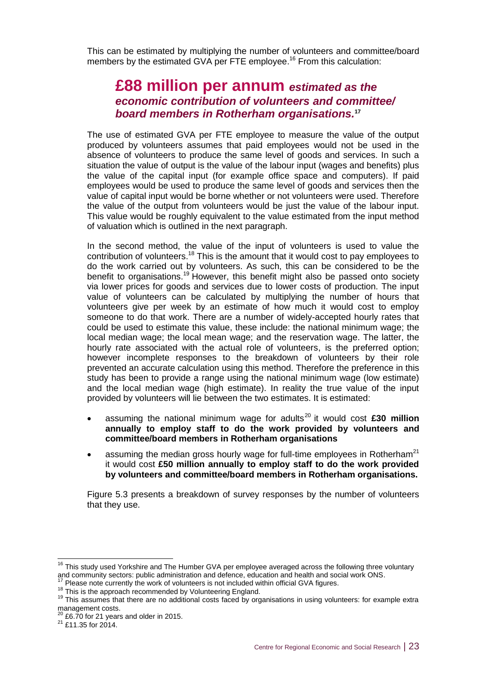This can be estimated by multiplying the number of volunteers and committee/board members by the estimated GVA per FTE employee.<sup>16</sup> From this calculation:

# **£88 million per annum** *estimated as the economic contribution of volunteers and committee/ board members in Rotherham organisations.* **17**

The use of estimated GVA per FTE employee to measure the value of the output produced by volunteers assumes that paid employees would not be used in the absence of volunteers to produce the same level of goods and services. In such a situation the value of output is the value of the labour input (wages and benefits) plus the value of the capital input (for example office space and computers). If paid employees would be used to produce the same level of goods and services then the value of capital input would be borne whether or not volunteers were used. Therefore the value of the output from volunteers would be just the value of the labour input. This value would be roughly equivalent to the value estimated from the input method of valuation which is outlined in the next paragraph.

In the second method, the value of the input of volunteers is used to value the contribution of volunteers.<sup>18</sup> This is the amount that it would cost to pay employees to do the work carried out by volunteers. As such, this can be considered to be the benefit to organisations.<sup>19</sup> However, this benefit might also be passed onto society via lower prices for goods and services due to lower costs of production. The input value of volunteers can be calculated by multiplying the number of hours that volunteers give per week by an estimate of how much it would cost to employ someone to do that work. There are a number of widely-accepted hourly rates that could be used to estimate this value, these include: the national minimum wage; the local median wage; the local mean wage; and the reservation wage. The latter, the hourly rate associated with the actual role of volunteers, is the preferred option; however incomplete responses to the breakdown of volunteers by their role prevented an accurate calculation using this method. Therefore the preference in this study has been to provide a range using the national minimum wage (low estimate) and the local median wage (high estimate). In reality the true value of the input provided by volunteers will lie between the two estimates. It is estimated:

- assuming the national minimum wage for adults<sup>20</sup> it would cost £30 million **annually to employ staff to do the work provided by volunteers and committee/board members in Rotherham organisations**
- assuming the median gross hourly wage for full-time employees in Rotherham<sup>21</sup> it would cost **£50 million annually to employ staff to do the work provided by volunteers and committee/board members in Rotherham organisations.**

Figure 5.3 presents a breakdown of survey responses by the number of volunteers that they use.

-

 $16$  This study used Yorkshire and The Humber GVA per employee averaged across the following three voluntary and community sectors: public administration and defence, education and health and social work ONS.

 $17$  Please note currently the work of volunteers is not included within official GVA figures.

<sup>&</sup>lt;sup>18</sup> This is the approach recommended by Volunteering England.

<sup>&</sup>lt;sup>19</sup> This assumes that there are no additional costs faced by organisations in using volunteers: for example extra management costs.

 $^{20}$  £6.70 for 21 years and older in 2015.

<sup>&</sup>lt;sup>21</sup> £11.35 for 2014.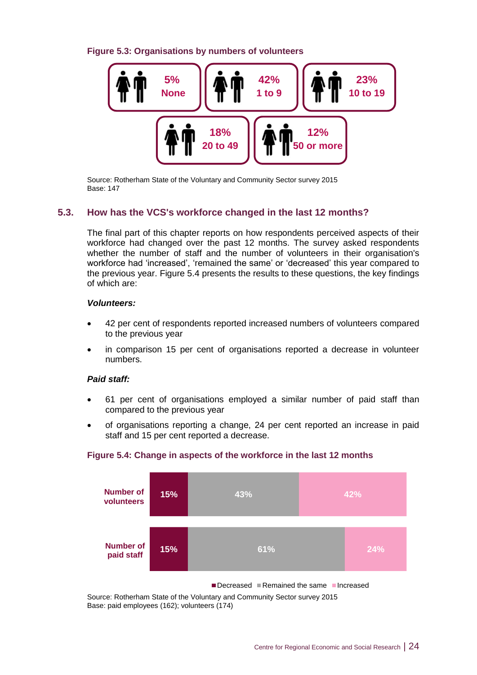**Figure 5.3: Organisations by numbers of volunteers** 



Source: Rotherham State of the Voluntary and Community Sector survey 2015 Base: 147

# **5.3. How has the VCS's workforce changed in the last 12 months?**

The final part of this chapter reports on how respondents perceived aspects of their workforce had changed over the past 12 months. The survey asked respondents whether the number of staff and the number of volunteers in their organisation's workforce had 'increased', 'remained the same' or 'decreased' this year compared to the previous year. Figure 5.4 presents the results to these questions, the key findings of which are:

# *Volunteers:*

- 42 per cent of respondents reported increased numbers of volunteers compared to the previous year
- in comparison 15 per cent of organisations reported a decrease in volunteer numbers.

# *Paid staff:*

- 61 per cent of organisations employed a similar number of paid staff than compared to the previous year
- of organisations reporting a change, 24 per cent reported an increase in paid staff and 15 per cent reported a decrease.



# **Figure 5.4: Change in aspects of the workforce in the last 12 months**

Decreased Remained the same Increased

Source: Rotherham State of the Voluntary and Community Sector survey 2015 Base: paid employees (162); volunteers (174)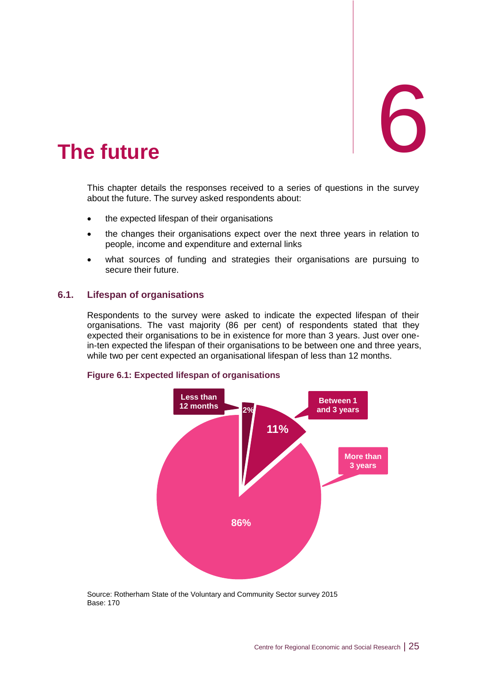<span id="page-30-0"></span>

This chapter details the responses received to a series of questions in the survey about the future. The survey asked respondents about:

- the expected lifespan of their organisations
- the changes their organisations expect over the next three years in relation to people, income and expenditure and external links
- what sources of funding and strategies their organisations are pursuing to secure their future.

# **6.1. Lifespan of organisations**

Respondents to the survey were asked to indicate the expected lifespan of their organisations. The vast majority (86 per cent) of respondents stated that they expected their organisations to be in existence for more than 3 years. Just over onein-ten expected the lifespan of their organisations to be between one and three years, while two per cent expected an organisational lifespan of less than 12 months.





Source: Rotherham State of the Voluntary and Community Sector survey 2015 Base: 170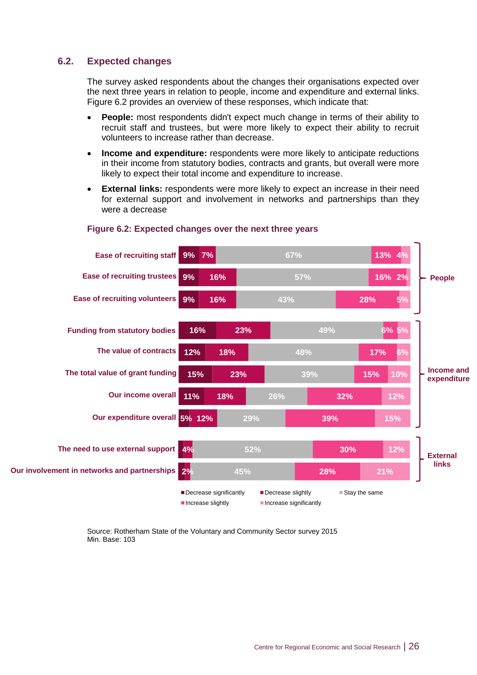# **6.2. Expected changes**

The survey asked respondents about the changes their organisations expected over the next three years in relation to people, income and expenditure and external links. Figure 6.2 provides an overview of these responses, which indicate that:

- **People:** most respondents didn't expect much change in terms of their ability to recruit staff and trustees, but were more likely to expect their ability to recruit volunteers to increase rather than decrease.
- **Income and expenditure:** respondents were more likely to anticipate reductions in their income from statutory bodies, contracts and grants, but overall were more likely to expect their total income and expenditure to increase.
- **External links:** respondents were more likely to expect an increase in their need for external support and involvement in networks and partnerships than they were a decrease



# **Figure 6.2: Expected changes over the next three years**

Source: Rotherham State of the Voluntary and Community Sector survey 2015 Min. Base: 103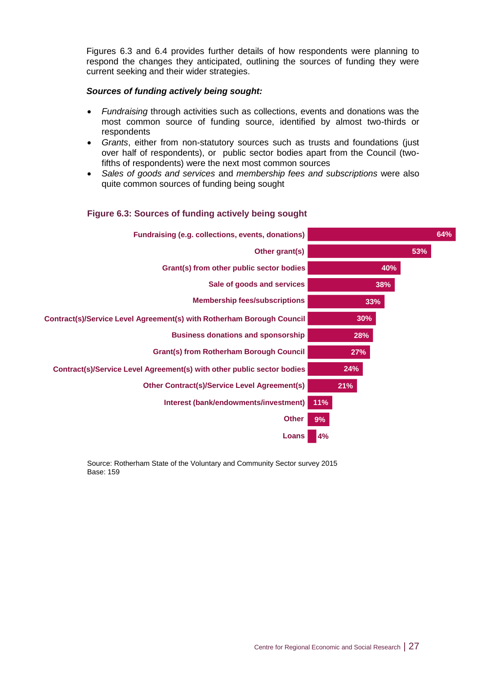Figures 6.3 and 6.4 provides further details of how respondents were planning to respond the changes they anticipated, outlining the sources of funding they were current seeking and their wider strategies.

# *Sources of funding actively being sought:*

- *Fundraising* through activities such as collections, events and donations was the most common source of funding source, identified by almost two-thirds or respondents
- *Grants*, either from non-statutory sources such as trusts and foundations (just over half of respondents), or public sector bodies apart from the Council (twofifths of respondents) were the next most common sources
- *Sales of goods and services* and *membership fees and subscriptions* were also quite common sources of funding being sought

# **Figure 6.3: Sources of funding actively being sought**



Source: Rotherham State of the Voluntary and Community Sector survey 2015 Base: 159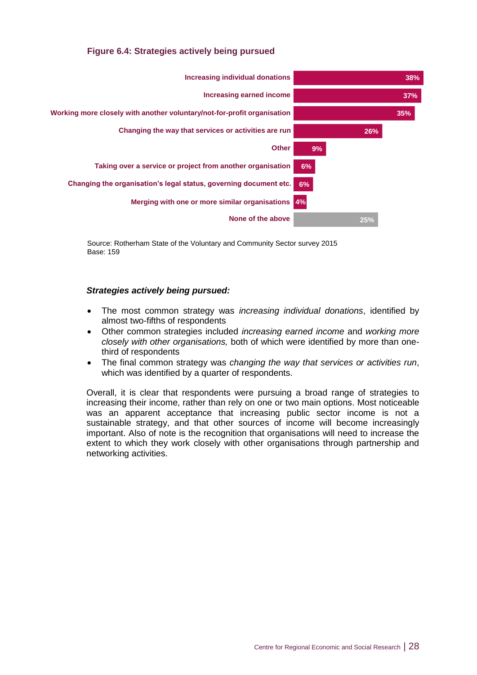# **Figure 6.4: Strategies actively being pursued**



Source: Rotherham State of the Voluntary and Community Sector survey 2015 Base: 159

# *Strategies actively being pursued:*

- The most common strategy was *increasing individual donations*, identified by almost two-fifths of respondents
- Other common strategies included *increasing earned income* and *working more closely with other organisations,* both of which were identified by more than onethird of respondents
- The final common strategy was *changing the way that services or activities run*, which was identified by a quarter of respondents.

Overall, it is clear that respondents were pursuing a broad range of strategies to increasing their income, rather than rely on one or two main options. Most noticeable was an apparent acceptance that increasing public sector income is not a sustainable strategy, and that other sources of income will become increasingly important. Also of note is the recognition that organisations will need to increase the extent to which they work closely with other organisations through partnership and networking activities.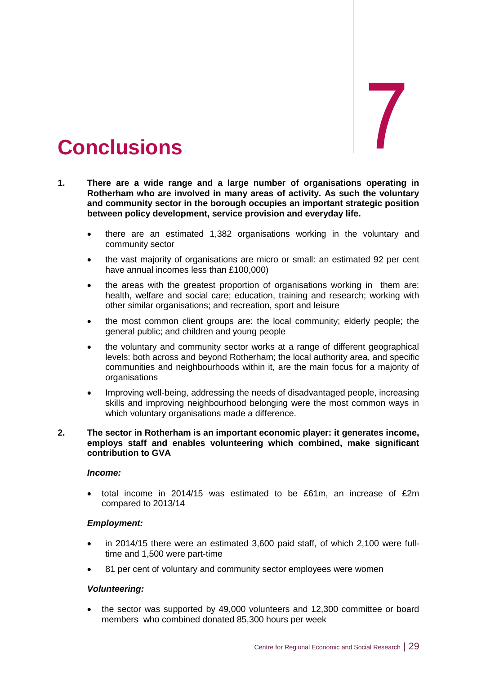# <span id="page-34-0"></span>7. **Conclusions** 7

- **1. There are a wide range and a large number of organisations operating in Rotherham who are involved in many areas of activity. As such the voluntary and community sector in the borough occupies an important strategic position between policy development, service provision and everyday life.**
	- there are an estimated 1,382 organisations working in the voluntary and community sector
	- the vast majority of organisations are micro or small: an estimated 92 per cent have annual incomes less than £100,000)
	- the areas with the greatest proportion of organisations working in them are: health, welfare and social care; education, training and research; working with other similar organisations; and recreation, sport and leisure
	- the most common client groups are: the local community; elderly people; the general public; and children and young people
	- the voluntary and community sector works at a range of different geographical levels: both across and beyond Rotherham; the local authority area, and specific communities and neighbourhoods within it, are the main focus for a majority of organisations
	- Improving well-being, addressing the needs of disadvantaged people, increasing skills and improving neighbourhood belonging were the most common ways in which voluntary organisations made a difference.

## **2. The sector in Rotherham is an important economic player: it generates income, employs staff and enables volunteering which combined, make significant contribution to GVA**

# *Income:*

 total income in 2014/15 was estimated to be £61m, an increase of £2m compared to 2013/14

# *Employment:*

- in 2014/15 there were an estimated 3,600 paid staff, of which 2,100 were fulltime and 1,500 were part-time
- 81 per cent of voluntary and community sector employees were women

# *Volunteering:*

 the sector was supported by 49,000 volunteers and 12,300 committee or board members who combined donated 85,300 hours per week